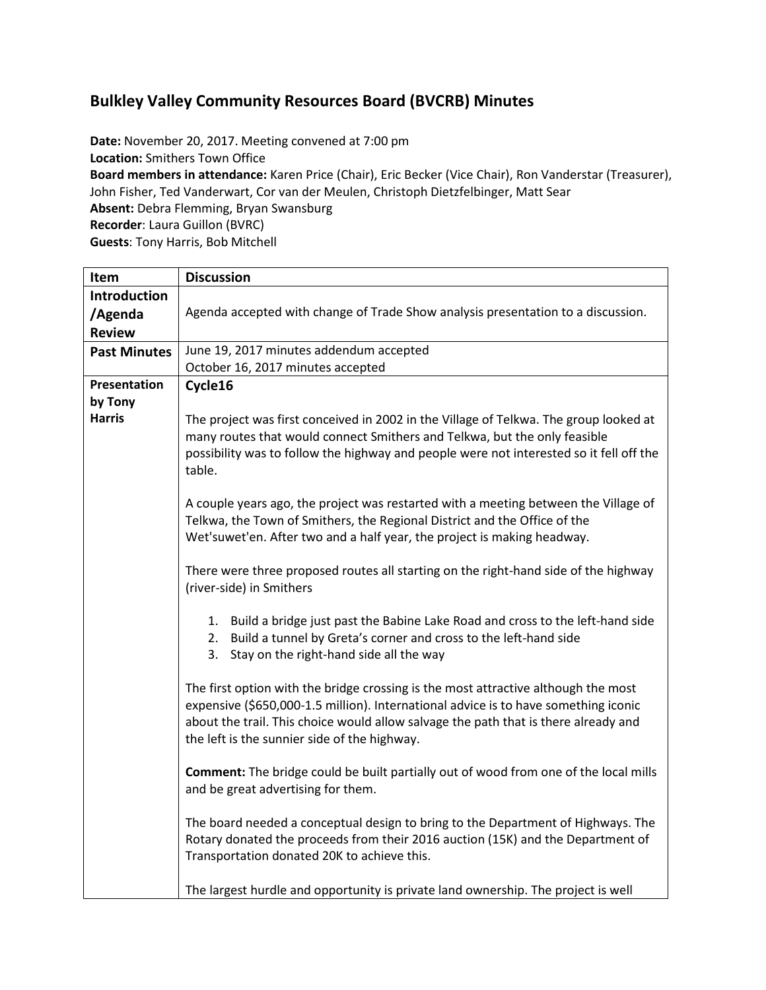# **Bulkley Valley Community Resources Board (BVCRB) Minutes**

**Date:** November 20, 2017. Meeting convened at 7:00 pm **Location:** Smithers Town Office **Board members in attendance:** Karen Price (Chair), Eric Becker (Vice Chair), Ron Vanderstar (Treasurer), John Fisher, Ted Vanderwart, Cor van der Meulen, Christoph Dietzfelbinger, Matt Sear **Absent:** Debra Flemming, Bryan Swansburg **Recorder**: Laura Guillon (BVRC) **Guests**: Tony Harris, Bob Mitchell

| Item                | <b>Discussion</b>                                                                                                                                                                                                                                                                                                |  |  |  |
|---------------------|------------------------------------------------------------------------------------------------------------------------------------------------------------------------------------------------------------------------------------------------------------------------------------------------------------------|--|--|--|
| <b>Introduction</b> |                                                                                                                                                                                                                                                                                                                  |  |  |  |
| /Agenda             | Agenda accepted with change of Trade Show analysis presentation to a discussion.                                                                                                                                                                                                                                 |  |  |  |
| <b>Review</b>       |                                                                                                                                                                                                                                                                                                                  |  |  |  |
| <b>Past Minutes</b> | June 19, 2017 minutes addendum accepted                                                                                                                                                                                                                                                                          |  |  |  |
|                     | October 16, 2017 minutes accepted                                                                                                                                                                                                                                                                                |  |  |  |
| Presentation        | Cycle16                                                                                                                                                                                                                                                                                                          |  |  |  |
| by Tony             |                                                                                                                                                                                                                                                                                                                  |  |  |  |
| <b>Harris</b>       | The project was first conceived in 2002 in the Village of Telkwa. The group looked at<br>many routes that would connect Smithers and Telkwa, but the only feasible<br>possibility was to follow the highway and people were not interested so it fell off the<br>table.                                          |  |  |  |
|                     | A couple years ago, the project was restarted with a meeting between the Village of<br>Telkwa, the Town of Smithers, the Regional District and the Office of the<br>Wet'suwet'en. After two and a half year, the project is making headway.                                                                      |  |  |  |
|                     | There were three proposed routes all starting on the right-hand side of the highway<br>(river-side) in Smithers                                                                                                                                                                                                  |  |  |  |
|                     | 1. Build a bridge just past the Babine Lake Road and cross to the left-hand side<br>2. Build a tunnel by Greta's corner and cross to the left-hand side<br>3. Stay on the right-hand side all the way                                                                                                            |  |  |  |
|                     | The first option with the bridge crossing is the most attractive although the most<br>expensive (\$650,000-1.5 million). International advice is to have something iconic<br>about the trail. This choice would allow salvage the path that is there already and<br>the left is the sunnier side of the highway. |  |  |  |
|                     | Comment: The bridge could be built partially out of wood from one of the local mills<br>and be great advertising for them.                                                                                                                                                                                       |  |  |  |
|                     | The board needed a conceptual design to bring to the Department of Highways. The<br>Rotary donated the proceeds from their 2016 auction (15K) and the Department of<br>Transportation donated 20K to achieve this.                                                                                               |  |  |  |
|                     | The largest hurdle and opportunity is private land ownership. The project is well                                                                                                                                                                                                                                |  |  |  |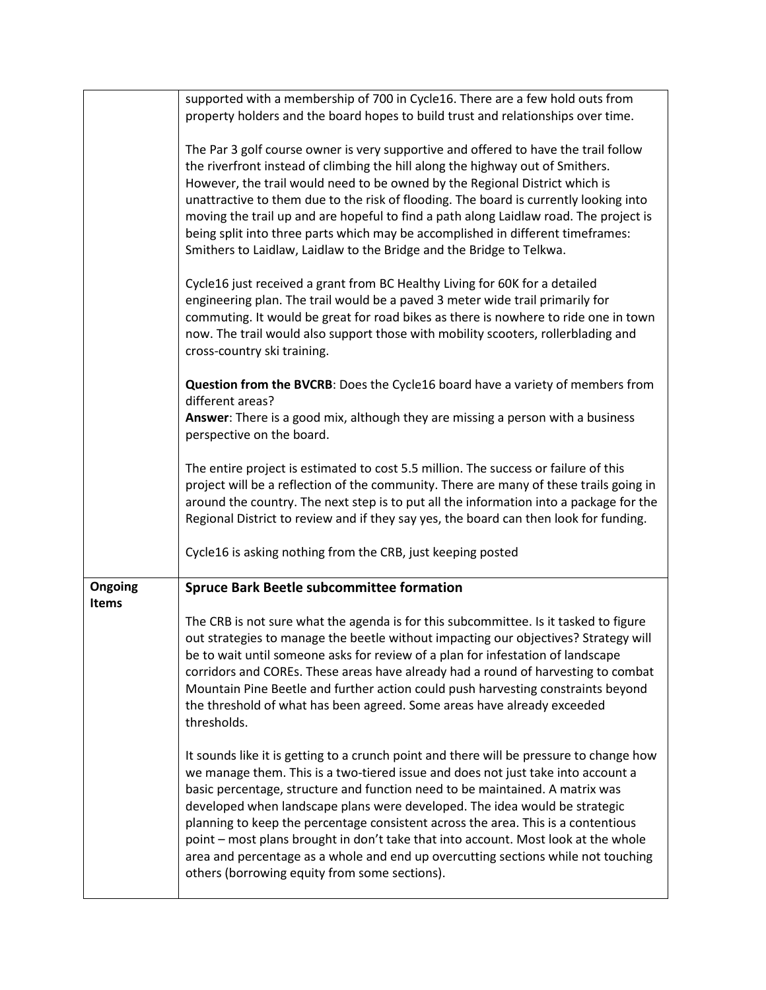|                         | supported with a membership of 700 in Cycle16. There are a few hold outs from                                                                                                                                                                                                                                                                                                                                                                                                                                                                                                                                                                              |  |  |  |  |
|-------------------------|------------------------------------------------------------------------------------------------------------------------------------------------------------------------------------------------------------------------------------------------------------------------------------------------------------------------------------------------------------------------------------------------------------------------------------------------------------------------------------------------------------------------------------------------------------------------------------------------------------------------------------------------------------|--|--|--|--|
|                         | property holders and the board hopes to build trust and relationships over time.                                                                                                                                                                                                                                                                                                                                                                                                                                                                                                                                                                           |  |  |  |  |
|                         | The Par 3 golf course owner is very supportive and offered to have the trail follow<br>the riverfront instead of climbing the hill along the highway out of Smithers.<br>However, the trail would need to be owned by the Regional District which is<br>unattractive to them due to the risk of flooding. The board is currently looking into<br>moving the trail up and are hopeful to find a path along Laidlaw road. The project is<br>being split into three parts which may be accomplished in different timeframes:<br>Smithers to Laidlaw, Laidlaw to the Bridge and the Bridge to Telkwa.                                                          |  |  |  |  |
|                         | Cycle16 just received a grant from BC Healthy Living for 60K for a detailed<br>engineering plan. The trail would be a paved 3 meter wide trail primarily for<br>commuting. It would be great for road bikes as there is nowhere to ride one in town<br>now. The trail would also support those with mobility scooters, rollerblading and<br>cross-country ski training.                                                                                                                                                                                                                                                                                    |  |  |  |  |
|                         | Question from the BVCRB: Does the Cycle16 board have a variety of members from<br>different areas?                                                                                                                                                                                                                                                                                                                                                                                                                                                                                                                                                         |  |  |  |  |
|                         | Answer: There is a good mix, although they are missing a person with a business<br>perspective on the board.                                                                                                                                                                                                                                                                                                                                                                                                                                                                                                                                               |  |  |  |  |
|                         | The entire project is estimated to cost 5.5 million. The success or failure of this<br>project will be a reflection of the community. There are many of these trails going in<br>around the country. The next step is to put all the information into a package for the<br>Regional District to review and if they say yes, the board can then look for funding.                                                                                                                                                                                                                                                                                           |  |  |  |  |
|                         | Cycle16 is asking nothing from the CRB, just keeping posted                                                                                                                                                                                                                                                                                                                                                                                                                                                                                                                                                                                                |  |  |  |  |
| Ongoing<br><b>Items</b> | <b>Spruce Bark Beetle subcommittee formation</b>                                                                                                                                                                                                                                                                                                                                                                                                                                                                                                                                                                                                           |  |  |  |  |
|                         | The CRB is not sure what the agenda is for this subcommittee. Is it tasked to figure<br>out strategies to manage the beetle without impacting our objectives? Strategy will<br>be to wait until someone asks for review of a plan for infestation of landscape<br>corridors and COREs. These areas have already had a round of harvesting to combat<br>Mountain Pine Beetle and further action could push harvesting constraints beyond<br>the threshold of what has been agreed. Some areas have already exceeded<br>thresholds.                                                                                                                          |  |  |  |  |
|                         | It sounds like it is getting to a crunch point and there will be pressure to change how<br>we manage them. This is a two-tiered issue and does not just take into account a<br>basic percentage, structure and function need to be maintained. A matrix was<br>developed when landscape plans were developed. The idea would be strategic<br>planning to keep the percentage consistent across the area. This is a contentious<br>point – most plans brought in don't take that into account. Most look at the whole<br>area and percentage as a whole and end up overcutting sections while not touching<br>others (borrowing equity from some sections). |  |  |  |  |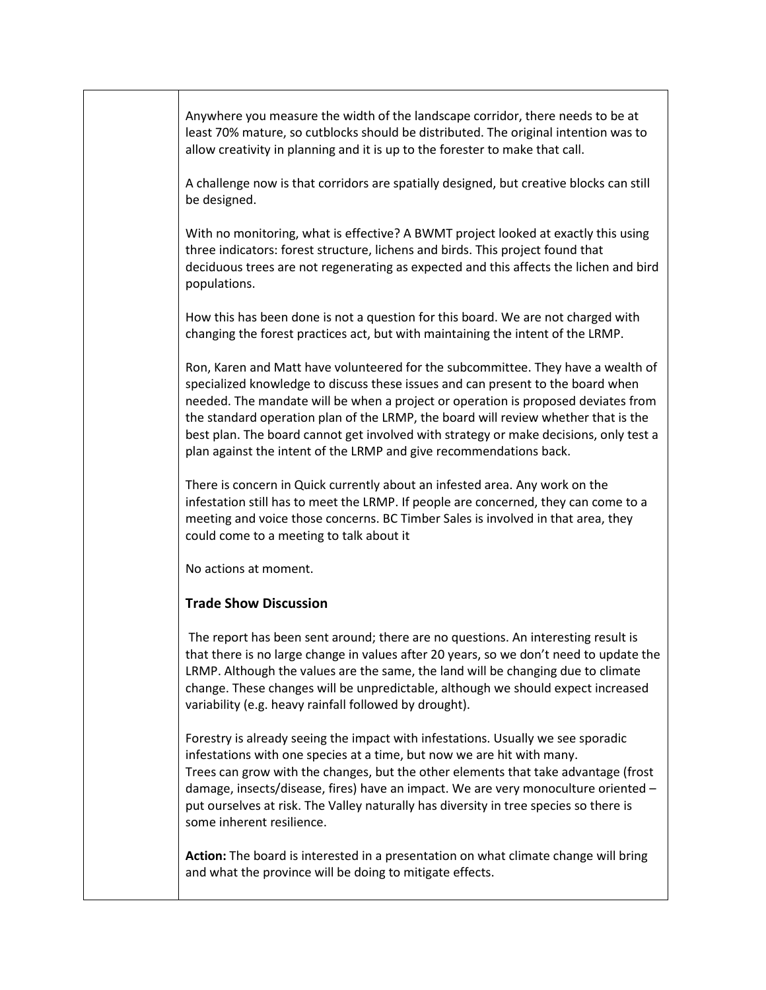Anywhere you measure the width of the landscape corridor, there needs to be at least 70% mature, so cutblocks should be distributed. The original intention was to allow creativity in planning and it is up to the forester to make that call.

A challenge now is that corridors are spatially designed, but creative blocks can still be designed.

With no monitoring, what is effective? A BWMT project looked at exactly this using three indicators: forest structure, lichens and birds. This project found that deciduous trees are not regenerating as expected and this affects the lichen and bird populations.

How this has been done is not a question for this board. We are not charged with changing the forest practices act, but with maintaining the intent of the LRMP.

Ron, Karen and Matt have volunteered for the subcommittee. They have a wealth of specialized knowledge to discuss these issues and can present to the board when needed. The mandate will be when a project or operation is proposed deviates from the standard operation plan of the LRMP, the board will review whether that is the best plan. The board cannot get involved with strategy or make decisions, only test a plan against the intent of the LRMP and give recommendations back.

There is concern in Quick currently about an infested area. Any work on the infestation still has to meet the LRMP. If people are concerned, they can come to a meeting and voice those concerns. BC Timber Sales is involved in that area, they could come to a meeting to talk about it

No actions at moment.

#### **Trade Show Discussion**

The report has been sent around; there are no questions. An interesting result is that there is no large change in values after 20 years, so we don't need to update the LRMP. Although the values are the same, the land will be changing due to climate change. These changes will be unpredictable, although we should expect increased variability (e.g. heavy rainfall followed by drought).

Forestry is already seeing the impact with infestations. Usually we see sporadic infestations with one species at a time, but now we are hit with many. Trees can grow with the changes, but the other elements that take advantage (frost damage, insects/disease, fires) have an impact. We are very monoculture oriented – put ourselves at risk. The Valley naturally has diversity in tree species so there is some inherent resilience.

**Action:** The board is interested in a presentation on what climate change will bring and what the province will be doing to mitigate effects.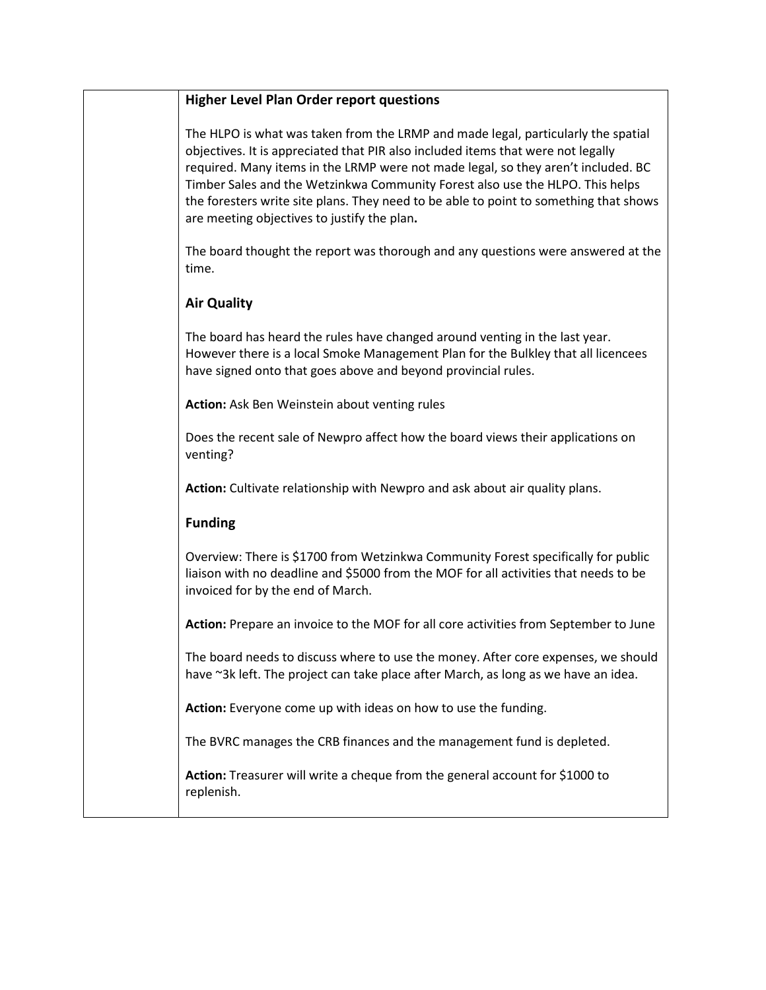### **Higher Level Plan Order report questions**

The HLPO is what was taken from the LRMP and made legal, particularly the spatial objectives. It is appreciated that PIR also included items that were not legally required. Many items in the LRMP were not made legal, so they aren't included. BC Timber Sales and the Wetzinkwa Community Forest also use the HLPO. This helps the foresters write site plans. They need to be able to point to something that shows are meeting objectives to justify the plan**.**

The board thought the report was thorough and any questions were answered at the time.

### **Air Quality**

The board has heard the rules have changed around venting in the last year. However there is a local Smoke Management Plan for the Bulkley that all licencees have signed onto that goes above and beyond provincial rules.

**Action:** Ask Ben Weinstein about venting rules

Does the recent sale of Newpro affect how the board views their applications on venting?

**Action:** Cultivate relationship with Newpro and ask about air quality plans.

### **Funding**

Overview: There is \$1700 from Wetzinkwa Community Forest specifically for public liaison with no deadline and \$5000 from the MOF for all activities that needs to be invoiced for by the end of March.

**Action:** Prepare an invoice to the MOF for all core activities from September to June

The board needs to discuss where to use the money. After core expenses, we should have ~3k left. The project can take place after March, as long as we have an idea.

**Action:** Everyone come up with ideas on how to use the funding.

The BVRC manages the CRB finances and the management fund is depleted.

**Action:** Treasurer will write a cheque from the general account for \$1000 to replenish.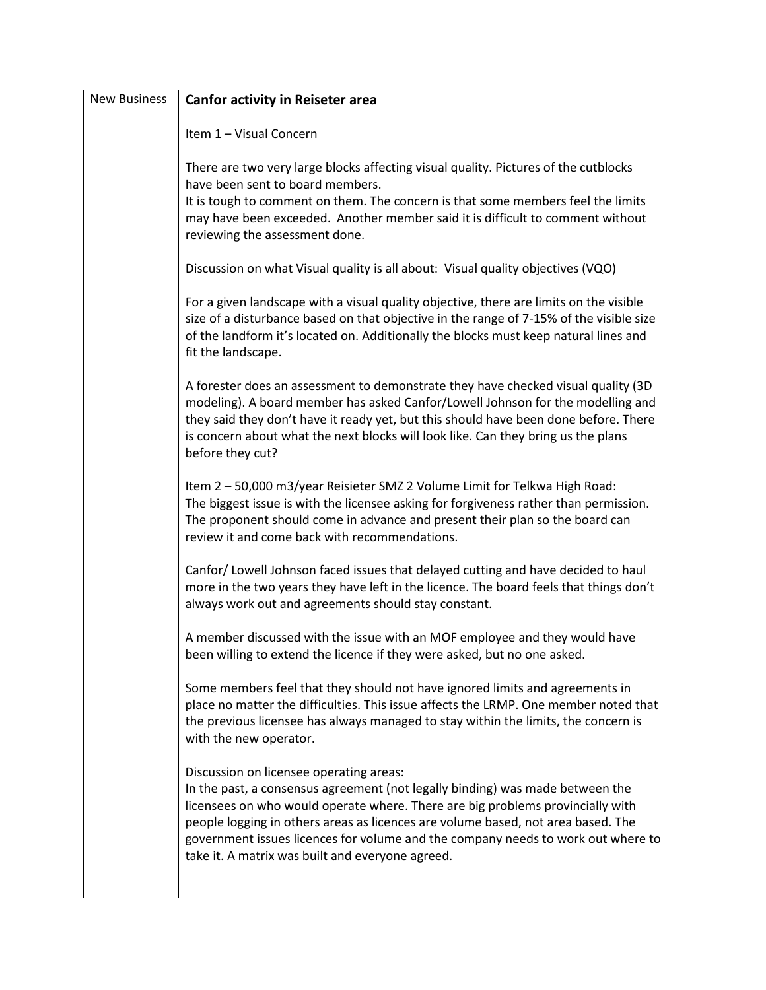| <b>New Business</b> | <b>Canfor activity in Reiseter area</b>                                                                                                                                                                                                                                                                                                                                                                                                |  |  |  |
|---------------------|----------------------------------------------------------------------------------------------------------------------------------------------------------------------------------------------------------------------------------------------------------------------------------------------------------------------------------------------------------------------------------------------------------------------------------------|--|--|--|
|                     | Item 1 - Visual Concern                                                                                                                                                                                                                                                                                                                                                                                                                |  |  |  |
|                     | There are two very large blocks affecting visual quality. Pictures of the cutblocks<br>have been sent to board members.                                                                                                                                                                                                                                                                                                                |  |  |  |
|                     | It is tough to comment on them. The concern is that some members feel the limits<br>may have been exceeded. Another member said it is difficult to comment without<br>reviewing the assessment done.                                                                                                                                                                                                                                   |  |  |  |
|                     | Discussion on what Visual quality is all about: Visual quality objectives (VQO)                                                                                                                                                                                                                                                                                                                                                        |  |  |  |
|                     | For a given landscape with a visual quality objective, there are limits on the visible<br>size of a disturbance based on that objective in the range of 7-15% of the visible size<br>of the landform it's located on. Additionally the blocks must keep natural lines and<br>fit the landscape.                                                                                                                                        |  |  |  |
|                     | A forester does an assessment to demonstrate they have checked visual quality (3D<br>modeling). A board member has asked Canfor/Lowell Johnson for the modelling and<br>they said they don't have it ready yet, but this should have been done before. There<br>is concern about what the next blocks will look like. Can they bring us the plans<br>before they cut?                                                                  |  |  |  |
|                     | Item 2 - 50,000 m3/year Reisieter SMZ 2 Volume Limit for Telkwa High Road:<br>The biggest issue is with the licensee asking for forgiveness rather than permission.<br>The proponent should come in advance and present their plan so the board can<br>review it and come back with recommendations.                                                                                                                                   |  |  |  |
|                     | Canfor/ Lowell Johnson faced issues that delayed cutting and have decided to haul<br>more in the two years they have left in the licence. The board feels that things don't<br>always work out and agreements should stay constant.                                                                                                                                                                                                    |  |  |  |
|                     | A member discussed with the issue with an MOF employee and they would have<br>been willing to extend the licence if they were asked, but no one asked.                                                                                                                                                                                                                                                                                 |  |  |  |
|                     | Some members feel that they should not have ignored limits and agreements in<br>place no matter the difficulties. This issue affects the LRMP. One member noted that<br>the previous licensee has always managed to stay within the limits, the concern is<br>with the new operator.                                                                                                                                                   |  |  |  |
|                     | Discussion on licensee operating areas:<br>In the past, a consensus agreement (not legally binding) was made between the<br>licensees on who would operate where. There are big problems provincially with<br>people logging in others areas as licences are volume based, not area based. The<br>government issues licences for volume and the company needs to work out where to<br>take it. A matrix was built and everyone agreed. |  |  |  |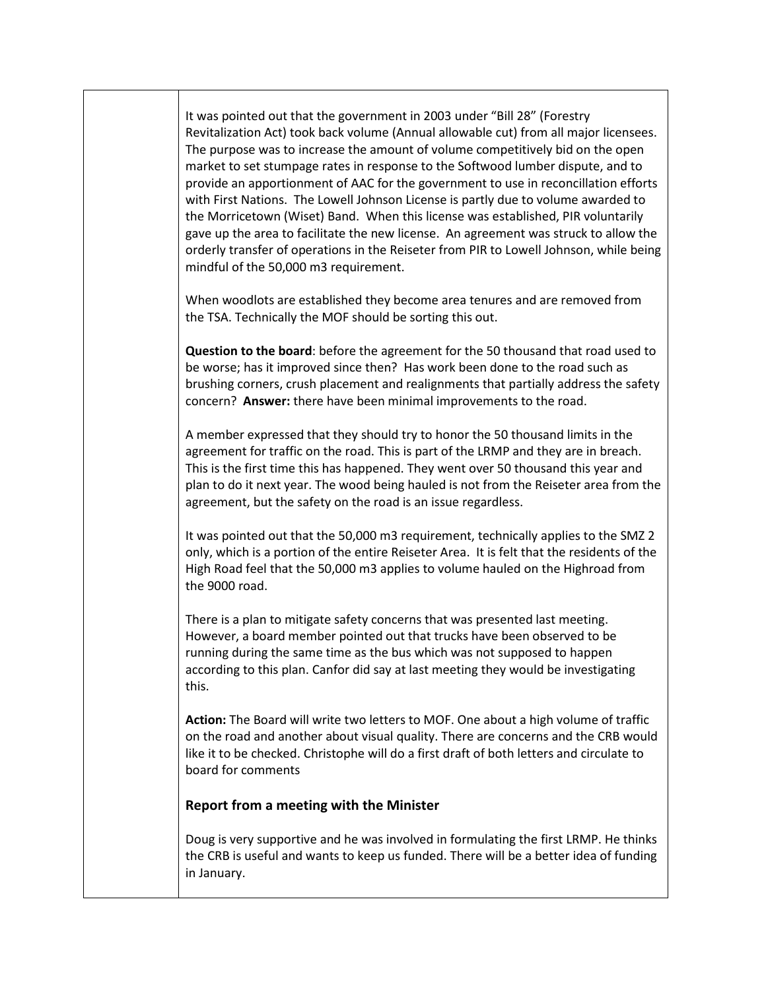It was pointed out that the government in 2003 under "Bill 28" (Forestry Revitalization Act) took back volume (Annual allowable cut) from all major licensees. The purpose was to increase the amount of volume competitively bid on the open market to set stumpage rates in response to the Softwood lumber dispute, and to provide an apportionment of AAC for the government to use in reconcillation efforts with First Nations. The Lowell Johnson License is partly due to volume awarded to the Morricetown (Wiset) Band. When this license was established, PIR voluntarily gave up the area to facilitate the new license. An agreement was struck to allow the orderly transfer of operations in the Reiseter from PIR to Lowell Johnson, while being mindful of the 50,000 m3 requirement.

When woodlots are established they become area tenures and are removed from the TSA. Technically the MOF should be sorting this out.

**Question to the board**: before the agreement for the 50 thousand that road used to be worse; has it improved since then? Has work been done to the road such as brushing corners, crush placement and realignments that partially address the safety concern? **Answer:** there have been minimal improvements to the road.

A member expressed that they should try to honor the 50 thousand limits in the agreement for traffic on the road. This is part of the LRMP and they are in breach. This is the first time this has happened. They went over 50 thousand this year and plan to do it next year. The wood being hauled is not from the Reiseter area from the agreement, but the safety on the road is an issue regardless.

It was pointed out that the 50,000 m3 requirement, technically applies to the SMZ 2 only, which is a portion of the entire Reiseter Area. It is felt that the residents of the High Road feel that the 50,000 m3 applies to volume hauled on the Highroad from the 9000 road.

There is a plan to mitigate safety concerns that was presented last meeting. However, a board member pointed out that trucks have been observed to be running during the same time as the bus which was not supposed to happen according to this plan. Canfor did say at last meeting they would be investigating this.

**Action:** The Board will write two letters to MOF. One about a high volume of traffic on the road and another about visual quality. There are concerns and the CRB would like it to be checked. Christophe will do a first draft of both letters and circulate to board for comments

#### **Report from a meeting with the Minister**

Doug is very supportive and he was involved in formulating the first LRMP. He thinks the CRB is useful and wants to keep us funded. There will be a better idea of funding in January.